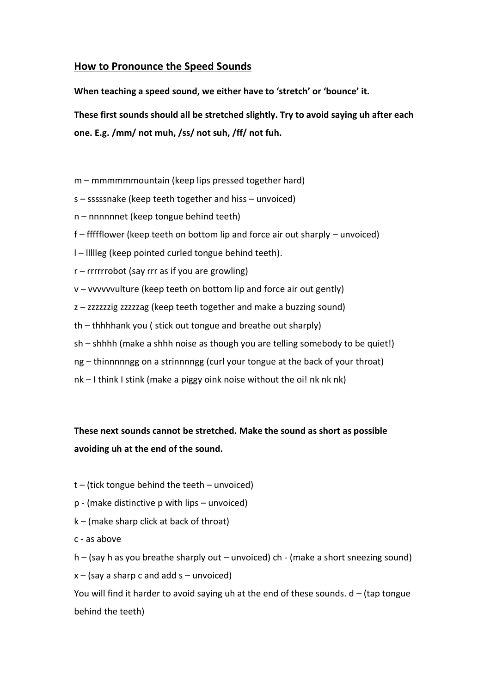## **How to Pronounce the Speed Sounds**

**When teaching a speed sound, we either have to 'stretch' or 'bounce' it.** 

**These first sounds should all be stretched slightly. Try to avoid saying uh after each one. E.g. /mm/ not muh, /ss/ not suh, /ff/ not fuh.** 

- m mmmmmmountain (keep lips pressed together hard)
- s sssssnake (keep teeth together and hiss unvoiced)
- n nnnnnnet (keep tongue behind teeth)
- f ffffflower (keep teeth on bottom lip and force air out sharply unvoiced)
- l llllleg (keep pointed curled tongue behind teeth).
- r rrrrrrobot (say rrr as if you are growling)
- v vvvvvvulture (keep teeth on bottom lip and force air out gently)
- z zzzzzzig zzzzzag (keep teeth together and make a buzzing sound)
- th thhhhank you ( stick out tongue and breathe out sharply)
- sh shhhh (make a shhh noise as though you are telling somebody to be quiet!)
- ng thinnnnngg on a strinnnngg (curl your tongue at the back of your throat)
- nk I think I stink (make a piggy oink noise without the oi! nk nk nk)

## **These next sounds cannot be stretched. Make the sound as short as possible avoiding uh at the end of the sound.**

- $t -$ (tick tongue behind the teeth unvoiced)
- p (make distinctive p with lips unvoiced)
- k (make sharp click at back of throat)
- c as above

h – (say h as you breathe sharply out – unvoiced) ch - (make a short sneezing sound)

 $x - (say a sharp c and add s – unvoiced)$ 

You will find it harder to avoid saying uh at the end of these sounds.  $d -$  (tap tongue behind the teeth)